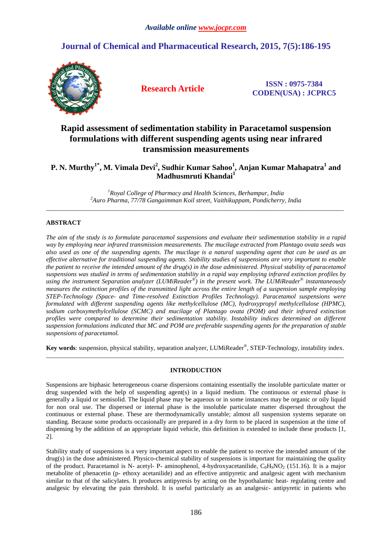# **Journal of Chemical and Pharmaceutical Research, 2015, 7(5):186-195**



**Research Article ISSN : 0975-7384 CODEN(USA) : JCPRC5**

# **Rapid assessment of sedimentation stability in Paracetamol suspension formulations with different suspending agents using near infrared transmission measurements**

**P. N. Murthy1\*, M. Vimala Devi<sup>2</sup> , Sudhir Kumar Sahoo<sup>1</sup> , Anjan Kumar Mahapatra<sup>1</sup> and Madhusmruti Khandai<sup>1</sup>**

*<sup>1</sup>Royal College of Pharmacy and Health Sciences, Berhampur, India <sup>2</sup>Auro Pharma, 77/78 Gangaimman Koil street, Vaithikuppam, Pondicherry, India*  \_\_\_\_\_\_\_\_\_\_\_\_\_\_\_\_\_\_\_\_\_\_\_\_\_\_\_\_\_\_\_\_\_\_\_\_\_\_\_\_\_\_\_\_\_\_\_\_\_\_\_\_\_\_\_\_\_\_\_\_\_\_\_\_\_\_\_\_\_\_\_\_\_\_\_\_\_\_\_\_\_\_\_\_\_\_\_\_\_\_\_\_\_

# **ABSTRACT**

*The aim of the study is to formulate paracetamol suspensions and evaluate their sedimentation stability in a rapid way by employing near infrared transmission measurements. The mucilage extracted from Plantago ovata seeds was also used as one of the suspending agents. The mucilage is a natural suspending agent that can be used as an effective alternative for traditional suspending agents. Stability studies of suspensions are very important to enable the patient to receive the intended amount of the drug(s) in the dose administered. Physical stability of paracetamol suspensions was studied in terms of sedimentation stability in a rapid way employing infrared extinction profiles by*  using the instrument Separation analyzer (LUMiReader<sup>®</sup>) in the present work. The LUMiReader<sup>®</sup> instantaneously *measures the extinction profiles of the transmitted light across the entire length of a suspension sample employing STEP-Technology (Space- and Time-resolved Extinction Profiles Technology). Paracetamol suspensions were formulated with different suspending agents like methylcellulose (MC), hydroxypropyl methylcellulose (HPMC), sodium carboxymethylcellulose (SCMC) and mucilage of Plantago ovata (POM) and their infrared extinction profiles were compared to determine their sedimentation stability. Instability indices determined on different suspension formulations indicated that MC and POM are preferable suspending agents for the preparation of stable suspensions of paracetamol.* 

**Key words**: suspension, physical stability, separation analyzer, LUMiReader® , STEP-Technology, instability index.  $\overline{a}$  , and the contribution of the contribution of the contribution of the contribution of the contribution of the contribution of the contribution of the contribution of the contribution of the contribution of the co

# **INTRODUCTION**

Suspensions are biphasic heterogeneous coarse dispersions containing essentially the insoluble particulate matter or drug suspended with the help of suspending agent(s) in a liquid medium. The continuous or external phase is generally a liquid or semisolid. The liquid phase may be aqueous or in some instances may be organic or oily liquid for non oral use. The dispersed or internal phase is the insoluble particulate matter dispersed throughout the continuous or external phase. These are thermodynamically unstable; almost all suspension systems separate on standing. Because some products occasionally are prepared in a dry form to be placed in suspension at the time of dispensing by the addition of an appropriate liquid vehicle, this definition is extended to include these products [1, 2].

Stability study of suspensions is a very important aspect to enable the patient to receive the intended amount of the drug(s) in the dose administered. Physico-chemical stability of suspensions is important for maintaining the quality of the product. Paracetamol is N- acetyl- P- aminophenol, 4-hydroxyacetanilide,  $C_8H_9NO_2$  (151.16). It is a major metabolite of phenacetin (p- ethoxy acetanilide) and an effective antipyretic and analgesic agent with mechanism similar to that of the salicylates. It produces antipyresis by acting on the hypothalamic heat- regulating centre and analgesic by elevating the pain threshold. It is useful particularly as an analgesic- antipyretic in patients who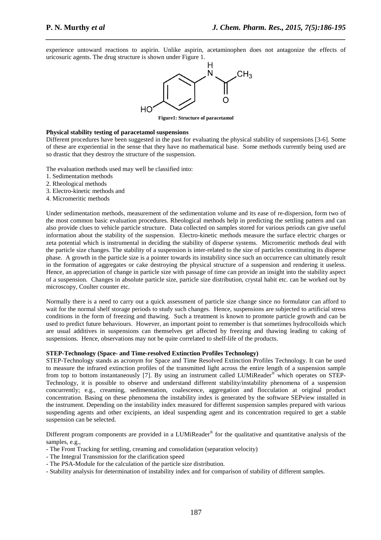experience untoward reactions to aspirin. Unlike aspirin, acetaminophen does not antagonize the effects of uricosuric agents. The drug structure is shown under Figure 1.

*\_\_\_\_\_\_\_\_\_\_\_\_\_\_\_\_\_\_\_\_\_\_\_\_\_\_\_\_\_\_\_\_\_\_\_\_\_\_\_\_\_\_\_\_\_\_\_\_\_\_\_\_\_\_\_\_\_\_\_\_\_\_\_\_\_\_\_\_\_\_\_\_\_\_\_\_\_\_*



**Figure1: Structure of paracetamol** 

# **Physical stability testing of paracetamol suspensions**

Different procedures have been suggested in the past for evaluating the physical stability of suspensions [3-6]. Some of these are experiential in the sense that they have no mathematical base. Some methods currently being used are so drastic that they destroy the structure of the suspension.

The evaluation methods used may well be classified into:

- 1. Sedimentation methods
- 2. Rheological methods
- 3. Electro-kinetic methods and
- 4. Micromeritic methods

Under sedimentation methods, measurement of the sedimentation volume and its ease of re-dispersion, form two of the most common basic evaluation procedures. Rheological methods help in predicting the settling pattern and can also provide clues to vehicle particle structure. Data collected on samples stored for various periods can give useful information about the stability of the suspension. Electro-kinetic methods measure the surface electric charges or zeta potential which is instrumental in deciding the stability of disperse systems. Micromeritic methods deal with the particle size changes. The stability of a suspension is inter-related to the size of particles constituting its disperse phase. A growth in the particle size is a pointer towards its instability since such an occurrence can ultimately result in the formation of aggregates or cake destroying the physical structure of a suspension and rendering it useless. Hence, an appreciation of change in particle size with passage of time can provide an insight into the stability aspect of a suspension. Changes in absolute particle size, particle size distribution, crystal habit etc. can be worked out by microscopy, Coulter counter etc.

Normally there is a need to carry out a quick assessment of particle size change since no formulator can afford to wait for the normal shelf storage periods to study such changes. Hence, suspensions are subjected to artificial stress conditions in the form of freezing and thawing. Such a treatment is known to promote particle growth and can be used to predict future behaviours. However, an important point to remember is that sometimes hydrocolloids which are usual additives in suspensions can themselves get affected by freezing and thawing leading to caking of suspensions. Hence, observations may not be quite correlated to shelf-life of the products.

#### **STEP-Technology (Space- and Time-resolved Extinction Profiles Technology)**

STEP-Technology stands as acronym for Space and Time Resolved Extinction Profiles Technology. It can be used to measure the infrared extinction profiles of the transmitted light across the entire length of a suspension sample from top to bottom instantaneously [7]. By using an instrument called LUMiReader® which operates on STEP-Technology, it is possible to observe and understand different stability/instability phenomena of a suspension concurrently; e.g., creaming, sedimentation, coalescence, aggregation and flocculation at original product concentration. Basing on these phenomena the instability index is generated by the software SEPview installed in the instrument. Depending on the instability index measured for different suspension samples prepared with various suspending agents and other excipients, an ideal suspending agent and its concentration required to get a stable suspension can be selected.

Different program components are provided in a LUMiReader® for the qualitative and quantitative analysis of the samples, e.g.,

- The Front Tracking for settling, creaming and consolidation (separation velocity)
- The Integral Transmission for the clarification speed
- The PSA-Module for the calculation of the particle size distribution.
- Stability analysis for determination of instability index and for comparison of stability of different samples.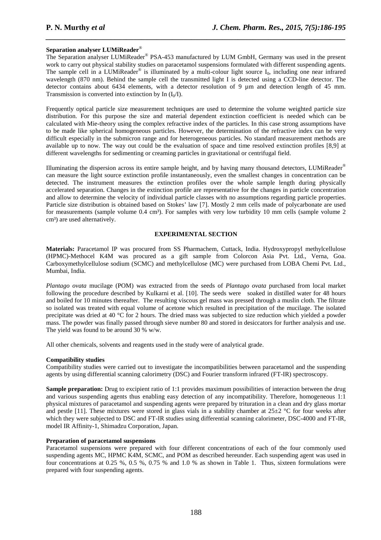# **Separation analyser LUMiReader**®

The Separation analyser LUMiReader® PSA-453 manufactured by LUM GmbH, Germany was used in the present work to carry out physical stability studies on paracetamol suspensions formulated with different suspending agents. The sample cell in a LUMiReader<sup>®</sup> is illuminated by a multi-colour light source  $I_0$ , including one near infrared wavelength (870 nm). Behind the sample cell the transmitted light I is detected using a CCD-line detector. The detector contains about 6434 elements, with a detector resolution of 9  $\mu$ m and detection length of 45 mm. Transmission is converted into extinction by In  $(I_0/I)$ .

*\_\_\_\_\_\_\_\_\_\_\_\_\_\_\_\_\_\_\_\_\_\_\_\_\_\_\_\_\_\_\_\_\_\_\_\_\_\_\_\_\_\_\_\_\_\_\_\_\_\_\_\_\_\_\_\_\_\_\_\_\_\_\_\_\_\_\_\_\_\_\_\_\_\_\_\_\_\_*

Frequently optical particle size measurement techniques are used to determine the volume weighted particle size distribution. For this purpose the size and material dependent extinction coefficient is needed which can be calculated with Mie-theory using the complex refractive index of the particles. In this case strong assumptions have to be made like spherical homogeneous particles. However, the determination of the refractive index can be very difficult especially in the submicron range and for heterogeneous particles. No standard measurement methods are available up to now. The way out could be the evaluation of space and time resolved extinction profiles [8,9] at different wavelengths for sedimenting or creaming particles in gravitational or centrifugal field.

Illuminating the dispersion across its entire sample height, and by having many thousand detectors, LUMiReader® can measure the light source extinction profile instantaneously, even the smallest changes in concentration can be detected. The instrument measures the extinction profiles over the whole sample length during physically accelerated separation. Changes in the extinction profile are representative for the changes in particle concentration and allow to determine the velocity of individual particle classes with no assumptions regarding particle properties. Particle size distribution is obtained based on Stokes' law [7]. Mostly 2 mm cells made of polycarbonate are used for measurements (sample volume  $0.4 \text{ cm}$ <sup>3</sup>). For samples with very low turbidity 10 mm cells (sample volume 2) cm<sup>3</sup>) are used alternatively.

# **EXPERIMENTAL SECTION**

**Materials:** Paracetamol IP was procured from SS Pharmachem, Cuttack, India. Hydroxypropyl methylcellulose (HPMC)-Methocel K4M was procured as a gift sample from Colorcon Asia Pvt. Ltd., Verna, Goa. Carboxymethylcellulose sodium (SCMC) and methylcellulose (MC) were purchased from LOBA Chemi Pvt. Ltd., Mumbai, India.

*Plantago ovata* mucilage (POM) was extracted from the seeds of *Plantago ovata* purchased from local market following the procedure described by Kulkarni et al. [10]. The seeds were soaked in distilled water for 48 hours and boiled for 10 minutes thereafter. The resulting viscous gel mass was pressed through a muslin cloth. The filtrate so isolated was treated with equal volume of acetone which resulted in precipitation of the mucilage. The isolated precipitate was dried at 40 °C for 2 hours. The dried mass was subjected to size reduction which yielded a powder mass. The powder was finally passed through sieve number 80 and stored in desiccators for further analysis and use. The yield was found to be around 30 % w/w.

All other chemicals, solvents and reagents used in the study were of analytical grade.

# **Compatibility studies**

Compatibility studies were carried out to investigate the incompatibilities between paracetamol and the suspending agents by using differential scanning calorimetry (DSC) and Fourier transform infrared (FT-IR) spectroscopy.

**Sample preparation:** Drug to excipient ratio of 1:1 provides maximum possibilities of interaction between the drug and various suspending agents thus enabling easy detection of any incompatibility. Therefore, homogeneous 1:1 physical mixtures of paracetamol and suspending agents were prepared by trituration in a clean and dry glass mortar and pestle [11]. These mixtures were stored in glass vials in a stability chamber at  $25\pm2$  °C for four weeks after which they were subjected to DSC and FT-IR studies using differential scanning calorimeter, DSC-4000 and FT-IR, model IR Affinity-1, Shimadzu Corporation, Japan.

# **Preparation of paracetamol suspensions**

Paracetamol suspensions were prepared with four different concentrations of each of the four commonly used suspending agents MC, HPMC K4M, SCMC, and POM as described hereunder. Each suspending agent was used in four concentrations at 0.25 %, 0.5 %, 0.75 % and 1.0 % as shown in Table 1. Thus, sixteen formulations were prepared with four suspending agents.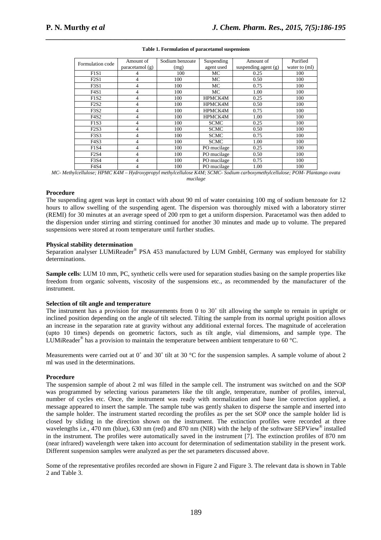| Formulation code              | Amount of | Sodium benzoate | Suspending  | Amount of              | Purified      |
|-------------------------------|-----------|-----------------|-------------|------------------------|---------------|
| paracetamol $(g)$             |           | (mg)            | agent used  | suspending agent $(g)$ | water to (ml) |
| F1S1                          | 4         | 100             | MC          | 0.25                   | 100           |
| F2S1                          | 4         | 100             | MC          | 0.50                   | 100           |
| F3S1                          | 4         | 100             | MC          | 0.75                   | 100           |
| F4S1                          | 4         | 100             | MC          | 1.00                   | 100           |
| F1S2                          | 4         | 100             | HPMCK4M     | 0.25                   | 100           |
| F2S2                          | 4         | 100             | HPMCK4M     | 0.50                   | 100           |
| F3S2                          | 4         | 100             | HPMCK4M     | 0.75                   | 100           |
| <b>F4S2</b>                   | 4         | 100             | HPMCK4M     | 1.00                   | 100           |
| F1S3                          | 4         | 100             | <b>SCMC</b> | 0.25                   | 100           |
| F2S3                          | 4         | 100             | <b>SCMC</b> | 0.50                   | 100           |
| F3S3                          | 4         | 100             | <b>SCMC</b> | 0.75                   | 100           |
| F <sub>4</sub> S <sub>3</sub> | 4         | 100             | <b>SCMC</b> | 1.00                   | 100           |
| F1S4                          | 4         | 100             | PO mucilage | 0.25                   | 100           |
| F2S4                          | 4         | 100             | PO mucilage | 0.50                   | 100           |
| <b>F3S4</b>                   | 4         | 100             | PO mucilage | 0.75                   | 100           |
| F <sub>4</sub> S <sub>4</sub> | 4         | 100             | PO mucilage | 1.00                   | 100           |

# *\_\_\_\_\_\_\_\_\_\_\_\_\_\_\_\_\_\_\_\_\_\_\_\_\_\_\_\_\_\_\_\_\_\_\_\_\_\_\_\_\_\_\_\_\_\_\_\_\_\_\_\_\_\_\_\_\_\_\_\_\_\_\_\_\_\_\_\_\_\_\_\_\_\_\_\_\_\_* **Table 1. Formulation of paracetamol suspensions**

*MC- Methylcellulose; HPMC K4M – Hydroxypropyl methylcellulose K4M; SCMC- Sodium carboxymethylcellulose; POM- Plantango ovata mucilage* 

## **Procedure**

The suspending agent was kept in contact with about 90 ml of water containing 100 mg of sodium benzoate for 12 hours to allow swelling of the suspending agent. The dispersion was thoroughly mixed with a laboratory stirrer (REMI) for 30 minutes at an average speed of 200 rpm to get a uniform dispersion. Paracetamol was then added to the dispersion under stirring and stirring continued for another 30 minutes and made up to volume. The prepared suspensions were stored at room temperature until further studies.

# **Physical stability determination**

Separation analyser LUMiReader® PSA 453 manufactured by LUM GmbH, Germany was employed for stability determinations.

**Sample cells**: LUM 10 mm, PC, synthetic cells were used for separation studies basing on the sample properties like freedom from organic solvents, viscosity of the suspensions etc., as recommended by the manufacturer of the instrument.

# **Selection of tilt angle and temperature**

The instrument has a provision for measurements from 0 to 30˚ tilt allowing the sample to remain in upright or inclined position depending on the angle of tilt selected. Tilting the sample from its normal upright position allows an increase in the separation rate at gravity without any additional external forces. The magnitude of acceleration (upto 10 times) depends on geometric factors, such as tilt angle, vial dimensions, and sample type. The LUMiReader<sup>®</sup> has a provision to maintain the temperature between ambient temperature to 60 °C.

Measurements were carried out at 0° and 30° tilt at 30 °C for the suspension samples. A sample volume of about 2 ml was used in the determinations.

# **Procedure**

The suspension sample of about 2 ml was filled in the sample cell. The instrument was switched on and the SOP was programmed by selecting various parameters like the tilt angle, temperature, number of profiles, interval, number of cycles etc. Once, the instrument was ready with normalization and base line correction applied, a message appeared to insert the sample. The sample tube was gently shaken to disperse the sample and inserted into the sample holder. The instrument started recording the profiles as per the set SOP once the sample holder lid is closed by sliding in the direction shown on the instrument. The extinction profiles were recorded at three wavelengths i.e., 470 nm (blue), 630 nm (red) and 870 nm (NIR) with the help of the software SEPView® installed in the instrument. The profiles were automatically saved in the instrument [7]. The extinction profiles of 870 nm (near infrared) wavelength were taken into account for determination of sedimentation stability in the present work. Different suspension samples were analyzed as per the set parameters discussed above.

Some of the representative profiles recorded are shown in Figure 2 and Figure 3. The relevant data is shown in Table 2 and Table 3.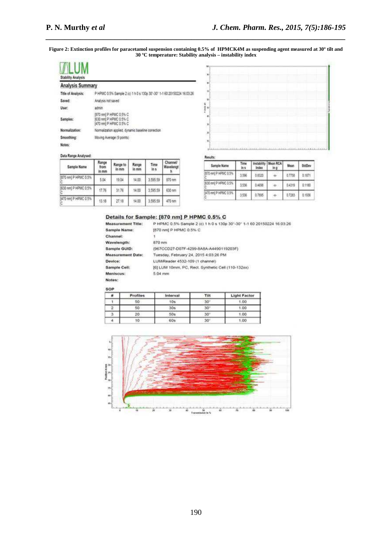**Figure 2: Extinction profiles for paracetamol suspension containing 0.5% of HPMCK4M as suspending agent measured at 30º tilt and 30 ºC temperature: Stability analysis – instability index** 

*\_\_\_\_\_\_\_\_\_\_\_\_\_\_\_\_\_\_\_\_\_\_\_\_\_\_\_\_\_\_\_\_\_\_\_\_\_\_\_\_\_\_\_\_\_\_\_\_\_\_\_\_\_\_\_\_\_\_\_\_\_\_\_\_\_\_\_\_\_\_\_\_\_\_\_\_\_\_*



| <b><i>OPPORTLY WORLYSES</i></b> |                                                                            |  |  |  |  |  |
|---------------------------------|----------------------------------------------------------------------------|--|--|--|--|--|
| <b>Analysis Summary</b>         |                                                                            |  |  |  |  |  |
| Title of Analysis:              | P HPMC 0.5% Sample 2 (c) 1 h 0 s 130p 30°-30° 1-1 60 20150224 16:03:26     |  |  |  |  |  |
| Saved:                          | Analysis not saved                                                         |  |  |  |  |  |
| User:                           | admin                                                                      |  |  |  |  |  |
| Samples:                        | 870 nml P HPMC 0.5% C<br>1630 run] P HPMC 0.5% C<br>5470 nm3 P HPMC 0.5% C |  |  |  |  |  |
| Normalization:                  | Normalization applied, dynamic baseline correction                         |  |  |  |  |  |
| Smoothing:                      | Moving Average (9 points)                                                  |  |  |  |  |  |
| Notes:                          |                                                                            |  |  |  |  |  |
|                                 |                                                                            |  |  |  |  |  |

#### Data Range Analysed:

| Sample Name          | Range<br>from<br>In mm | Range to<br>in mm | Range<br>In mm | Time<br>in s | Channel/<br>Wavelengt |
|----------------------|------------------------|-------------------|----------------|--------------|-----------------------|
| [870 nm] P HPMC 0.5% | 5.04                   | 19.04             | 14.00          | 3.595.59     | 870 nm                |
| (630 nm) P HPMC 0.5% | 17.76                  | 31.76             | 14.00          | 3.595.59     | 530 nm                |
| 470 nml P HPMC 0.5%  | 13.18                  | 27.18             | 14.00          | 3.595.59     | 470 nm                |

**Sample Name:** Channel:

Results:

| <b>Sample Name</b>   | Time<br>in s | <b>Index</b> | Instability Mean RCA | Mean   | StdDev |  |
|----------------------|--------------|--------------|----------------------|--------|--------|--|
| 870 nm) P HPMC 0.5%  | 1.5%         | 0.8320       | 100                  | 0.7758 | 0.1871 |  |
| 630 nm) P HPMC 0.5%  | 3.536        | 0.4650       | 100                  | 0.4319 | 0.1180 |  |
| [470 nm] P HPMC 0.5% | 3,538        | 0.7895       |                      | 0.7283 | 0.1936 |  |

# Details for Sample: [870 nm] P HPMC 0.5% C

Measurement Title: P HPMC 0.5% Sample 2 (c) 1 h 0 s 130p 30"-30" 1-1 60 20150224 16:03:26 [670 nm] P HPMC 0.5% C ٦

| Wavelength:              | 870 nm                                             |
|--------------------------|----------------------------------------------------|
| Sample GUID:             | (967CCD27-D07F-4299-8A8A-A4490119203F)             |
| <b>Measurement Date:</b> | Tuesday, February 24, 2015 4:03:26 PM              |
| Device:                  | LUMReader 4532-109 (1 channel)                     |
| Sample Cell:             | [6] LUM 10mm, PC, Rect. Synthetic Cell (110-132xx) |
| Meniscus:                | 5.04 mm                                            |
| Notes:                   |                                                    |

SOP

| Profiles | Interval<br>Tilt |              | <b>Light Factor</b> |  |  |
|----------|------------------|--------------|---------------------|--|--|
| 50       | 10a              | $-30^\circ$  |                     |  |  |
| 50       | 30s              | $30^{\circ}$ | 1.00                |  |  |
| 20       | 50s              | 30'          | 1.00                |  |  |
| ١Ō       | ---<br>60s       | $30^\circ$   | 1.00                |  |  |

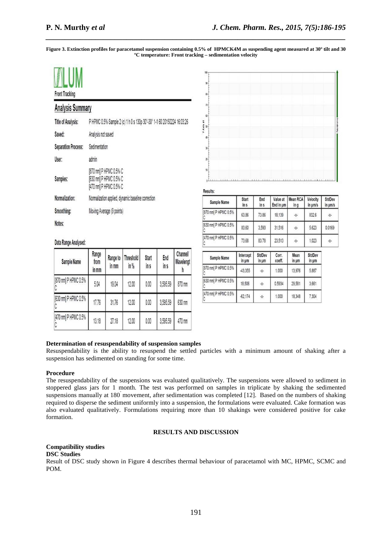**Figure 3. Extinction profiles for paracetamol suspension containing 0.5% of HPMCK4M as suspending agent measured at 30º tilt and 30 ºC temperature: Front tracking – sedimentation velocity** 

*\_\_\_\_\_\_\_\_\_\_\_\_\_\_\_\_\_\_\_\_\_\_\_\_\_\_\_\_\_\_\_\_\_\_\_\_\_\_\_\_\_\_\_\_\_\_\_\_\_\_\_\_\_\_\_\_\_\_\_\_\_\_\_\_\_\_\_\_\_\_\_\_\_\_\_\_\_\_*

| <b>Front Tracking</b>      |                                                                            |
|----------------------------|----------------------------------------------------------------------------|
| <b>Analysis Summary</b>    |                                                                            |
| <b>Title of Analysis:</b>  | P HPMC 0.5% Sample 2 (c) 1 h 0 s 130p 30°-30° 1-1 60 20150224 16:03:26     |
| Saved:                     | Analysis not saved                                                         |
| <b>Separation Process:</b> | Sedimentation                                                              |
| User:                      | admin                                                                      |
| Samples:                   | [870 nm] P HPMC 0.5% C<br>[630 nm] P HPMC 0.5% C<br>[470 nm] P HPMC 0.5% C |
| Normalization:             | Normalization applied, dynamic baseline correction                         |
| Smoothing:                 | Moving Average (9 points)                                                  |
| Notes:                     |                                                                            |



Results:

| Sample Name          | <b>Start</b><br>in s | End<br>in s | Value at<br>End in um | Mean RCA<br>in g | Velocity<br>in um/s | <b>StdDev</b><br>in um/s |
|----------------------|----------------------|-------------|-----------------------|------------------|---------------------|--------------------------|
| [870 nm] P HPMC 0.5% | 63.86                | 73.86       | 18,139                | $-\chi$ -        | 832.6               | $-\lambda$ -             |
| [630 nm] P HPMC 0.5% | 83.60                | 3.593       | 31,516                | $-\chi$ -        | 5.623               | 0.0169                   |
| [470 nm] P HPMC 0.5% | 73.68                | 83.78       | 23,513                | $\cdot$ X-       | 1.023               | $-\chi$ -                |

| Sample Name          | Intercept<br>in um | <b>StdDev</b><br>in um | Corr.<br>coeff. | Mean<br>in um | StdDev<br>$in \mu m$ |
|----------------------|--------------------|------------------------|-----------------|---------------|----------------------|
| [870 nm] P HPMC 0.5% | $-43.355$          | -X-                    | 1.000           | 13.976        | 5.887                |
| [630 nm] P HPMC 0.5% | 18,506             | -X-                    | 0.5934          | 29.581        | 3,661                |
| [470 nm] P HPMC 0.5% | $-62.174$          | ٠X٠                    | 1.000           | 18,348        | 7,304                |

# Data Range Analysed:

| Sample Name          | Range<br>from<br>in mm | Range to<br>in mm | Threshold<br>in % | <b>Start</b><br>in s | End<br>in s | Channel/<br>Wavelengt |
|----------------------|------------------------|-------------------|-------------------|----------------------|-------------|-----------------------|
| [870 nm] P HPMC 0.5% | 5.04                   | 19.04             | 12.00             | 0.00                 | 3,595.59    | 870 nm                |
| [630 nm] P HPMC 0.5% | 17.76                  | 31.76             | 12.00             | 0.00                 | 3,595.59    | 630 nm                |
| [470 nm] P HPMC 0.5% | 13.18                  | 27.18             | 12.00             | 0.00                 | 3,595.59    | 470 nm                |

# **Determination of resuspendability of suspension samples**

Resuspendability is the ability to resuspend the settled particles with a minimum amount of shaking after a suspension has sedimented on standing for some time.

# **Procedure**

The resuspendability of the suspensions was evaluated qualitatively. The suspensions were allowed to sediment in stoppered glass jars for 1 month. The test was performed on samples in triplicate by shaking the sedimented suspensions manually at 180˚ movement, after sedimentation was completed [12]. Based on the numbers of shaking required to disperse the sediment uniformly into a suspension, the formulations were evaluated. Cake formation was also evaluated qualitatively. Formulations requiring more than 10 shakings were considered positive for cake formation.

## **RESULTS AND DISCUSSION**

# **Compatibility studies**

# **DSC Studies**

Result of DSC study shown in Figure 4 describes thermal behaviour of paracetamol with MC, HPMC, SCMC and POM.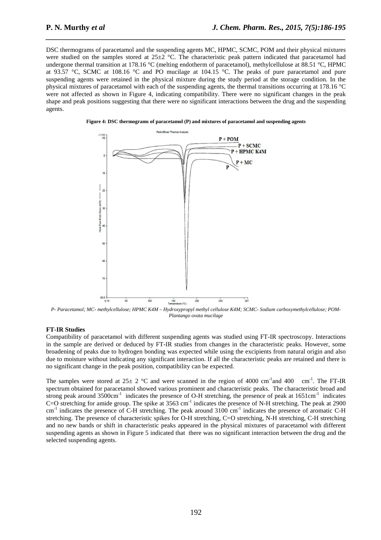DSC thermograms of paracetamol and the suspending agents MC, HPMC, SCMC, POM and their physical mixtures were studied on the samples stored at  $25\pm2$  °C. The characteristic peak pattern indicated that paracetamol had undergone thermal transition at 178.16 °C (melting endotherm of paracetamol), methylcellulose at 88.51 °C, HPMC at 93.57 °C, SCMC at 108.16 °C and PO mucilage at 104.15 °C. The peaks of pure paracetamol and pure suspending agents were retained in the physical mixture during the study period at the storage condition. In the physical mixtures of paracetamol with each of the suspending agents, the thermal transitions occurring at 178.16 °C were not affected as shown in Figure 4, indicating compatibility. There were no significant changes in the peak shape and peak positions suggesting that there were no significant interactions between the drug and the suspending agents.

*\_\_\_\_\_\_\_\_\_\_\_\_\_\_\_\_\_\_\_\_\_\_\_\_\_\_\_\_\_\_\_\_\_\_\_\_\_\_\_\_\_\_\_\_\_\_\_\_\_\_\_\_\_\_\_\_\_\_\_\_\_\_\_\_\_\_\_\_\_\_\_\_\_\_\_\_\_\_*

**Figure 4: DSC thermograms of paracetamol (P) and mixtures of paracetamol and suspending agents** 



*P- Paracetamol; MC- methylcellulose; HPMC K4M – Hydroxypropyl methyl cellulose K4M; SCMC- Sodium carboxymethylcellulose; POM-Plantango ovata mucilage* 

#### **FT-IR Studies**

Compatibility of paracetamol with different suspending agents was studied using FT-IR spectroscopy. Interactions in the sample are derived or deduced by FT-IR studies from changes in the characteristic peaks. However, some broadening of peaks due to hydrogen bonding was expected while using the excipients from natural origin and also due to moisture without indicating any significant interaction. If all the characteristic peaks are retained and there is no significant change in the peak position, compatibility can be expected.

The samples were stored at  $25\pm 2$  °C and were scanned in the region of 4000 cm<sup>-1</sup>and 400 cm<sup>-1</sup>. The FT-IR spectrum obtained for paracetamol showed various prominent and characteristic peaks. The characteristic broad and strong peak around  $3500 \text{cm}^{-1}$  indicates the presence of O-H stretching, the presence of peak at  $1651 \text{cm}^{-1}$  indicates C=O stretching for amide group. The spike at 3563 cm<sup>-1</sup> indicates the presence of N-H stretching. The peak at 2900  $cm^{-1}$  indicates the presence of C-H stretching. The peak around 3100 cm<sup>-1</sup> indicates the presence of aromatic C-H stretching. The presence of characteristic spikes for O-H stretching, C=O stretching, N-H stretching, C-H stretching and no new bands or shift in characteristic peaks appeared in the physical mixtures of paracetamol with different suspending agents as shown in Figure 5 indicated that there was no significant interaction between the drug and the selected suspending agents.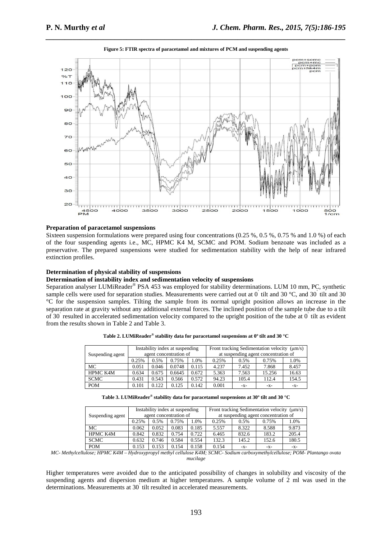

# *\_\_\_\_\_\_\_\_\_\_\_\_\_\_\_\_\_\_\_\_\_\_\_\_\_\_\_\_\_\_\_\_\_\_\_\_\_\_\_\_\_\_\_\_\_\_\_\_\_\_\_\_\_\_\_\_\_\_\_\_\_\_\_\_\_\_\_\_\_\_\_\_\_\_\_\_\_\_* **Figure 5: FTIR spectra of paracetamol and mixtures of PCM and suspending agents**

# **Preparation of paracetamol suspensions**

Sixteen suspension formulations were prepared using four concentrations (0.25 %, 0.5 %, 0.75 % and 1.0 %) of each of the four suspending agents i.e., MC, HPMC K4 M, SCMC and POM. Sodium benzoate was included as a preservative. The prepared suspensions were studied for sedimentation stability with the help of near infrared extinction profiles.

# **Determination of physical stability of suspensions**

# **Determination of instability index and sedimentation velocity of suspensions**

Separation analyser LUMiReader® PSA 453 was employed for stability determinations. LUM 10 mm, PC, synthetic sample cells were used for separation studies. Measurements were carried out at  $0^{\circ}$  tilt and 30 °C, and 30  $^{\circ}$ tilt and 30 °C for the suspension samples. Tilting the sample from its normal upright position allows an increase in the separation rate at gravity without any additional external forces. The inclined position of the sample tube due to a tilt of 30˚ resulted in accelerated sedimentation velocity compared to the upright position of the tube at 0˚ tilt as evident from the results shown in Table 2 and Table 3.

|                  | Instability index at suspending |       |                        |       | Front tracking Sedimentation velocity $(\mu m/s)$ |       |        |       |  |
|------------------|---------------------------------|-------|------------------------|-------|---------------------------------------------------|-------|--------|-------|--|
| Suspending agent |                                 |       | agent concentration of |       | at suspending agent concentration of              |       |        |       |  |
|                  | 0.25%                           | 0.5%  | 0.75%                  | 1.0%  | 0.25%                                             | 0.5%  | 0.75%  | 1.0%  |  |
| МC               | 0.051                           | 0.046 | 0.0748                 | 0.115 | 4.237                                             | 7.452 | 7.868  | 8.457 |  |
| <b>HPMC K4M</b>  | 0.634                           | 0.675 | 0.6645                 | 0.672 | 5.363                                             | 7.563 | 15.256 | 16.63 |  |
| <b>SCMC</b>      | 0.431                           | 0.543 | 0.566                  | 0.572 | 94.23                                             | 105.4 | 112.4  | 154.5 |  |
| <b>POM</b>       | 0.101                           | 0.122 | 0.125                  | 0.142 | 0.001                                             | -X-   | -X-    | $-X-$ |  |

**Table 2. LUMiReader® stability data for paracetamol suspensions at 0º tilt and 30 °C** 

| Table 3. LUMiReader® stability data for paracetamol suspensions at 30° tilt and 30 °C |  |
|---------------------------------------------------------------------------------------|--|
|---------------------------------------------------------------------------------------|--|

| Suspending agent | Instability index at suspending |       |       |       | Front tracking Sedimentation velocity $(\mu m/s)$ |       |       |       |
|------------------|---------------------------------|-------|-------|-------|---------------------------------------------------|-------|-------|-------|
|                  | agent concentration of          |       |       |       | at suspending agent concentration of              |       |       |       |
|                  | 0.25%                           | 0.5%  | 0.75% | .0%   | 0.25%                                             | 0.5%  | 0.75% | 1.0%  |
| MC               | 0.062                           | 0.052 | 0.083 | 0.185 | 5.557                                             | 8.322 | 8.588 | 9.873 |
| HPMC K4M         | 0.842                           | 0.832 | 0.754 | 0.722 | 6.465                                             | 832.6 | 183.2 | 205.4 |
| <b>SCMC</b>      | 0.632                           | 0.746 | 0.584 | 0.554 | 132.3                                             | 145.2 | 152.6 | 180.5 |
| <b>POM</b>       | 0.153                           | 0.153 | 0.154 | 0.158 | 0.154                                             | $-X-$ | -X-   | -X-   |

*MC- Methylcellulose; HPMC K4M – Hydroxypropyl methyl cellulose K4M; SCMC- Sodium carboxymethylcellulose; POM- Plantango ovata mucilage* 

Higher temperatures were avoided due to the anticipated possibility of changes in solubility and viscosity of the suspending agents and dispersion medium at higher temperatures. A sample volume of 2 ml was used in the determinations. Measurements at 30<sup>°</sup> tilt resulted in accelerated measurements.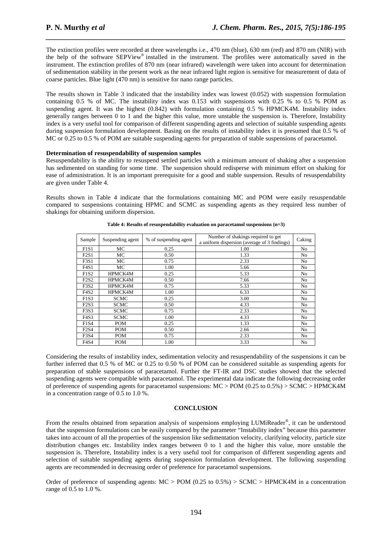The extinction profiles were recorded at three wavelengths i.e., 470 nm (blue), 630 nm (red) and 870 nm (NIR) with the help of the software SEPView® installed in the instrument. The profiles were automatically saved in the instrument. The extinction profiles of 870 nm (near infrared) wavelength were taken into account for determination of sedimentation stability in the present work as the near infrared light region is sensitive for measurement of data of coarse particles. Blue light (470 nm) is sensitive for nano range particles.

*\_\_\_\_\_\_\_\_\_\_\_\_\_\_\_\_\_\_\_\_\_\_\_\_\_\_\_\_\_\_\_\_\_\_\_\_\_\_\_\_\_\_\_\_\_\_\_\_\_\_\_\_\_\_\_\_\_\_\_\_\_\_\_\_\_\_\_\_\_\_\_\_\_\_\_\_\_\_*

The results shown in Table 3 indicated that the instability index was lowest (0.052) with suspension formulation containing 0.5 % of MC. The instability index was 0.153 with suspensions with 0.25 % to 0.5 % POM as suspending agent. It was the highest (0.842) with formulation containing 0.5 % HPMCK4M. Instability index generally ranges between 0 to 1 and the higher this value, more unstable the suspension is. Therefore, Instability index is a very useful tool for comparison of different suspending agents and selection of suitable suspending agents during suspension formulation development. Basing on the results of instability index it is presumed that 0.5 % of MC or 0.25 to 0.5 % of POM are suitable suspending agents for preparation of stable suspensions of paracetamol.

# **Determination of resuspendability of suspension samples**

Resuspendability is the ability to resuspend settled particles with a minimum amount of shaking after a suspension has sedimented on standing for some time. The suspension should redisperse with minimum effort on shaking for ease of administration. It is an important prerequisite for a good and stable suspension. Results of resuspendability are given under Table 4.

Results shown in Table 4 indicate that the formulations containing MC and POM were easily resuspendable compared to suspensions containing HPMC and SCMC as suspending agents as they required less number of shakings for obtaining uniform dispersion.

| Sample                        | Suspending agent | Number of shakings required to get<br>% of suspending agent<br>a uniform dispersion (average of 3 findings) |      | Caking         |
|-------------------------------|------------------|-------------------------------------------------------------------------------------------------------------|------|----------------|
|                               |                  |                                                                                                             |      |                |
| F1S1                          | MC               | 0.25                                                                                                        | 1.00 | No.            |
| F2S1                          | МC               | 0.50                                                                                                        | 1.33 | No.            |
| F3S1                          | МC               | 0.75                                                                                                        | 2.33 | No.            |
| F4S1                          | MC               | 1.00                                                                                                        | 5.66 | No.            |
| F1S2                          | <b>HPMCK4M</b>   | 0.25                                                                                                        | 5.33 | No.            |
| F2S2                          | HPMCK4M          | 0.50                                                                                                        | 7.66 | No.            |
| F <sub>3</sub> S <sub>2</sub> | <b>HPMCK4M</b>   | 0.75                                                                                                        | 5.33 | No.            |
| F <sub>4</sub> S <sub>2</sub> | HPMCK4M          | 1.00                                                                                                        | 6.33 | No.            |
| F1S3                          | <b>SCMC</b>      | 0.25                                                                                                        | 3.00 | N <sub>o</sub> |
| F2S3                          | <b>SCMC</b>      | 0.50                                                                                                        | 4.33 | N <sub>o</sub> |
| F <sub>3</sub> S <sub>3</sub> | <b>SCMC</b>      | 0.75                                                                                                        | 2.33 | N <sub>o</sub> |
| F <sub>4</sub> S <sub>3</sub> | <b>SCMC</b>      | 1.00                                                                                                        | 4.33 | No.            |
| F1S4                          | <b>POM</b>       | 0.25                                                                                                        | 1.33 | No.            |
| F2S4                          | POM              | 0.50                                                                                                        | 2.66 | No.            |
| F <sub>3</sub> S <sub>4</sub> | <b>POM</b>       | 0.75                                                                                                        | 2.33 | N <sub>o</sub> |
| F4S4                          | POM              | 1.00                                                                                                        | 3.33 | No             |

**Table 4: Results of resuspendability evaluation on paracetamol suspensions (n=3)** 

Considering the results of instability index, sedimentation velocity and resuspendability of the suspensions it can be further inferred that 0.5 % of MC or 0.25 to 0.50 % of POM can be considered suitable as suspending agents for preparation of stable suspensions of paracetamol. Further the FT-IR and DSC studies showed that the selected suspending agents were compatible with paracetamol. The experimental data indicate the following decreasing order of preference of suspending agents for paracetamol suspensions: MC > POM (0.25 to 0.5%) > SCMC > HPMCK4M in a concentration range of 0.5 to 1.0 %.

# **CONCLUSION**

From the results obtained from separation analysis of suspensions employing LUMiReader®, it can be understood that the suspension formulations can be easily compared by the parameter "Instability index" because this parameter takes into account of all the properties of the suspension like sedimentation velocity, clarifying velocity, particle size distribution changes etc. Instability index ranges between 0 to 1 and the higher this value, more unstable the suspension is. Therefore, Instability index is a very useful tool for comparison of different suspending agents and selection of suitable suspending agents during suspension formulation development. The following suspending agents are recommended in decreasing order of preference for paracetamol suspensions.

Order of preference of suspending agents:  $MC > POM$  (0.25 to 0.5%) > SCMC > HPMCK4M in a concentration range of 0.5 to 1.0 %.